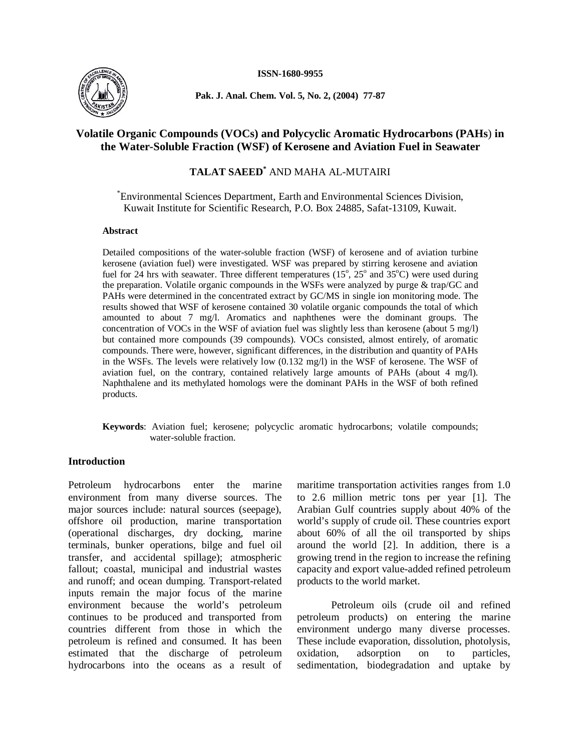

**Pak. J. Anal. Chem. Vol. 5, No. 2, (2004) 77-87**

# **Volatile Organic Compounds (VOCs) and Polycyclic Aromatic Hydrocarbons (PAHs**) **in the Water-Soluble Fraction (WSF) of Kerosene and Aviation Fuel in Seawater**

**TALAT SAEED\*** AND MAHA AL-MUTAIRI

\*Environmental Sciences Department, Earth and Environmental Sciences Division, Kuwait Institute for Scientific Research, P.O. Box 24885, Safat-13109, Kuwait.

### **Abstract**

Detailed compositions of the water-soluble fraction (WSF) of kerosene and of aviation turbine kerosene (aviation fuel) were investigated. WSF was prepared by stirring kerosene and aviation fuel for 24 hrs with seawater. Three different temperatures  $(15^{\circ}, 25^{\circ}$  and  $35^{\circ}$ C) were used during the preparation. Volatile organic compounds in the WSFs were analyzed by purge  $& \text{trap/GC}$  and PAHs were determined in the concentrated extract by GC/MS in single ion monitoring mode. The results showed that WSF of kerosene contained 30 volatile organic compounds the total of which amounted to about 7 mg/l. Aromatics and naphthenes were the dominant groups. The concentration of VOCs in the WSF of aviation fuel was slightly less than kerosene (about 5 mg/l) but contained more compounds (39 compounds). VOCs consisted, almost entirely, of aromatic compounds. There were, however, significant differences, in the distribution and quantity of PAHs in the WSFs. The levels were relatively low (0.132 mg/l) in the WSF of kerosene. The WSF of aviation fuel, on the contrary, contained relatively large amounts of PAHs (about 4 mg/l). Naphthalene and its methylated homologs were the dominant PAHs in the WSF of both refined products.

**Keywords**: Aviation fuel; kerosene; polycyclic aromatic hydrocarbons; volatile compounds; water-soluble fraction.

# **Introduction**

Petroleum hydrocarbons enter the marine environment from many diverse sources. The major sources include: natural sources (seepage), offshore oil production, marine transportation (operational discharges, dry docking, marine terminals, bunker operations, bilge and fuel oil transfer, and accidental spillage); atmospheric fallout; coastal, municipal and industrial wastes and runoff; and ocean dumping. Transport-related inputs remain the major focus of the marine environment because the world's petroleum continues to be produced and transported from countries different from those in which the petroleum is refined and consumed. It has been estimated that the discharge of petroleum hydrocarbons into the oceans as a result of

maritime transportation activities ranges from 1.0 to 2.6 million metric tons per year [1]. The Arabian Gulf countries supply about 40% of the world's supply of crude oil. These countries export about 60% of all the oil transported by ships around the world [2]. In addition, there is a growing trend in the region to increase the refining capacity and export value-added refined petroleum products to the world market.

Petroleum oils (crude oil and refined petroleum products) on entering the marine environment undergo many diverse processes. These include evaporation, dissolution, photolysis, oxidation, adsorption on to particles, sedimentation, biodegradation and uptake by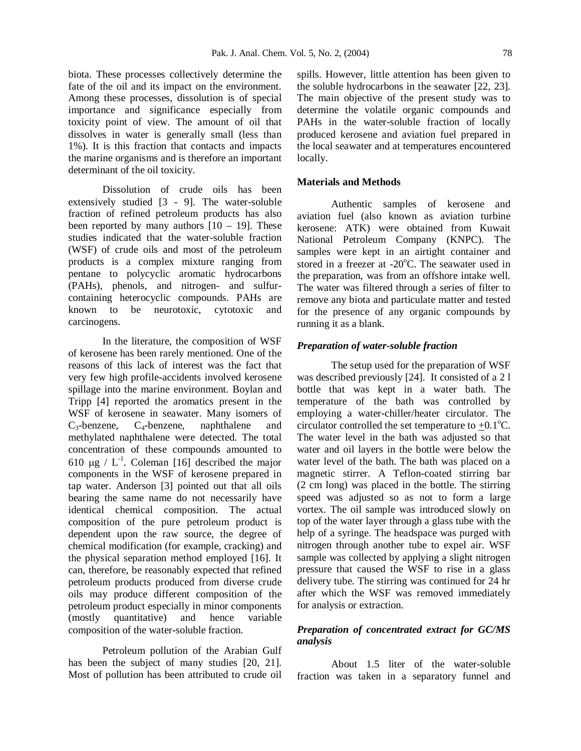biota. These processes collectively determine the fate of the oil and its impact on the environment. Among these processes, dissolution is of special importance and significance especially from toxicity point of view. The amount of oil that dissolves in water is generally small (less than 1%). It is this fraction that contacts and impacts the marine organisms and is therefore an important determinant of the oil toxicity.

Dissolution of crude oils has been extensively studied [3 - 9]. The water-soluble fraction of refined petroleum products has also been reported by many authors  $[10 - 19]$ . These studies indicated that the water-soluble fraction (WSF) of crude oils and most of the petroleum products is a complex mixture ranging from pentane to polycyclic aromatic hydrocarbons (PAHs), phenols, and nitrogen- and sulfurcontaining heterocyclic compounds. PAHs are known to be neurotoxic, cytotoxic and carcinogens.

In the literature, the composition of WSF of kerosene has been rarely mentioned. One of the reasons of this lack of interest was the fact that very few high profile-accidents involved kerosene spillage into the marine environment. Boylan and Tripp [4] reported the aromatics present in the WSF of kerosene in seawater. Many isomers of  $C_3$ -benzene,  $C_4$ -benzene, naphthalene and methylated naphthalene were detected. The total concentration of these compounds amounted to 610  $\mu$ g / L<sup>-1</sup>. Coleman [16] described the major components in the WSF of kerosene prepared in tap water. Anderson [3] pointed out that all oils bearing the same name do not necessarily have identical chemical composition. The actual composition of the pure petroleum product is dependent upon the raw source, the degree of chemical modification (for example, cracking) and the physical separation method employed [16]. It can, therefore, be reasonably expected that refined petroleum products produced from diverse crude oils may produce different composition of the petroleum product especially in minor components (mostly quantitative) and hence variable composition of the water-soluble fraction.

Petroleum pollution of the Arabian Gulf has been the subject of many studies [20, 21]. Most of pollution has been attributed to crude oil spills. However, little attention has been given to the soluble hydrocarbons in the seawater [22, 23]. The main objective of the present study was to determine the volatile organic compounds and PAHs in the water-soluble fraction of locally produced kerosene and aviation fuel prepared in the local seawater and at temperatures encountered locally.

#### **Materials and Methods**

Authentic samples of kerosene and aviation fuel (also known as aviation turbine kerosene: ATK) were obtained from Kuwait National Petroleum Company (KNPC). The samples were kept in an airtight container and stored in a freezer at  $-20^{\circ}$ C. The seawater used in the preparation, was from an offshore intake well. The water was filtered through a series of filter to remove any biota and particulate matter and tested for the presence of any organic compounds by running it as a blank.

#### *Preparation of water-soluble fraction*

The setup used for the preparation of WSF was described previously [24]. It consisted of a 2 l bottle that was kept in a water bath. The temperature of the bath was controlled by employing a water-chiller/heater circulator. The circulator controlled the set temperature to  $+0.1^{\circ}C$ . The water level in the bath was adjusted so that water and oil layers in the bottle were below the water level of the bath. The bath was placed on a magnetic stirrer. A Teflon-coated stirring bar (2 cm long) was placed in the bottle. The stirring speed was adjusted so as not to form a large vortex. The oil sample was introduced slowly on top of the water layer through a glass tube with the help of a syringe. The headspace was purged with nitrogen through another tube to expel air. WSF sample was collected by applying a slight nitrogen pressure that caused the WSF to rise in a glass delivery tube. The stirring was continued for 24 hr after which the WSF was removed immediately for analysis or extraction.

# *Preparation of concentrated extract for GC/MS analysis*

About 1.5 liter of the water-soluble fraction was taken in a separatory funnel and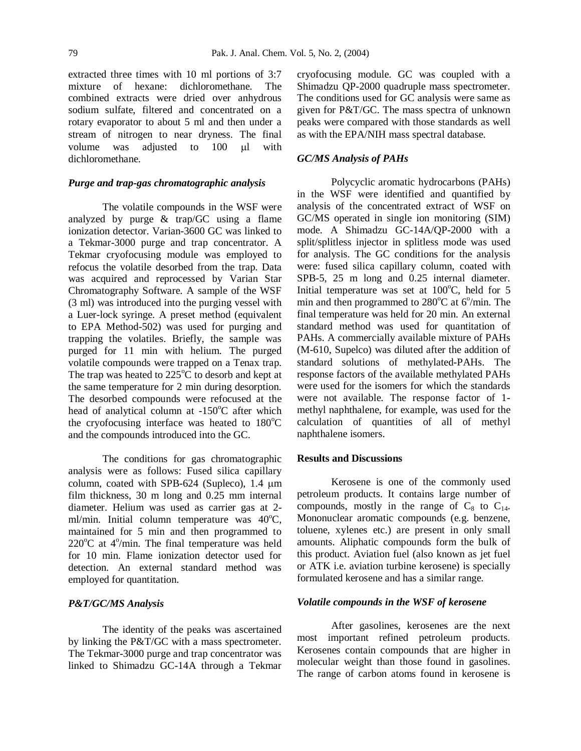extracted three times with 10 ml portions of 3:7 mixture of hexane: dichloromethane. The combined extracts were dried over anhydrous sodium sulfate, filtered and concentrated on a rotary evaporator to about 5 ml and then under a stream of nitrogen to near dryness. The final volume was adjusted to 100 ul with dichloromethane.

### *Purge and trap-gas chromatographic analysis*

The volatile compounds in the WSF were analyzed by purge & trap/GC using a flame ionization detector. Varian-3600 GC was linked to a Tekmar-3000 purge and trap concentrator. A Tekmar cryofocusing module was employed to refocus the volatile desorbed from the trap. Data was acquired and reprocessed by Varian Star Chromatography Software. A sample of the WSF (3 ml) was introduced into the purging vessel with a Luer-lock syringe. A preset method (equivalent to EPA Method-502) was used for purging and trapping the volatiles. Briefly, the sample was purged for 11 min with helium. The purged volatile compounds were trapped on a Tenax trap. The trap was heated to  $225^{\circ}$ C to desorb and kept at the same temperature for 2 min during desorption. The desorbed compounds were refocused at the head of analytical column at  $-150^{\circ}$ C after which the cryofocusing interface was heated to  $180^{\circ}$ C and the compounds introduced into the GC.

The conditions for gas chromatographic analysis were as follows: Fused silica capillary column, coated with SPB-624 (Supleco), 1.4  $\mu$ m film thickness, 30 m long and 0.25 mm internal diameter. Helium was used as carrier gas at 2 ml/min. Initial column temperature was  $40^{\circ}$ C, maintained for 5 min and then programmed to  $220^{\circ}$ C at  $4^{\circ}$ /min. The final temperature was held for 10 min. Flame ionization detector used for detection. An external standard method was employed for quantitation.

### *P&T/GC/MS Analysis*

The identity of the peaks was ascertained by linking the P&T/GC with a mass spectrometer. The Tekmar-3000 purge and trap concentrator was linked to Shimadzu GC-14A through a Tekmar

cryofocusing module. GC was coupled with a Shimadzu QP-2000 quadruple mass spectrometer. The conditions used for GC analysis were same as given for P&T/GC. The mass spectra of unknown peaks were compared with those standards as well as with the EPA/NIH mass spectral database.

### *GC/MS Analysis of PAHs*

Polycyclic aromatic hydrocarbons (PAHs) in the WSF were identified and quantified by analysis of the concentrated extract of WSF on GC/MS operated in single ion monitoring (SIM) mode. A Shimadzu GC-14A/QP-2000 with a split/splitless injector in splitless mode was used for analysis. The GC conditions for the analysis were: fused silica capillary column, coated with SPB-5, 25 m long and 0.25 internal diameter. Initial temperature was set at  $100^{\circ}$ C, held for 5 min and then programmed to  $280^{\circ}$ C at  $6^{\circ}$ /min. The final temperature was held for 20 min. An external standard method was used for quantitation of PAHs. A commercially available mixture of PAHs (M-610, Supelco) was diluted after the addition of standard solutions of methylated-PAHs. The response factors of the available methylated PAHs were used for the isomers for which the standards were not available. The response factor of 1 methyl naphthalene, for example, was used for the calculation of quantities of all of methyl naphthalene isomers.

#### **Results and Discussions**

Kerosene is one of the commonly used petroleum products. It contains large number of compounds, mostly in the range of  $C_8$  to  $C_{14}$ . Mononuclear aromatic compounds (e.g. benzene, toluene, xylenes etc.) are present in only small amounts. Aliphatic compounds form the bulk of this product. Aviation fuel (also known as jet fuel or ATK i.e. aviation turbine kerosene) is specially formulated kerosene and has a similar range.

#### *Volatile compounds in the WSF of kerosene*

After gasolines, kerosenes are the next most important refined petroleum products. Kerosenes contain compounds that are higher in molecular weight than those found in gasolines. The range of carbon atoms found in kerosene is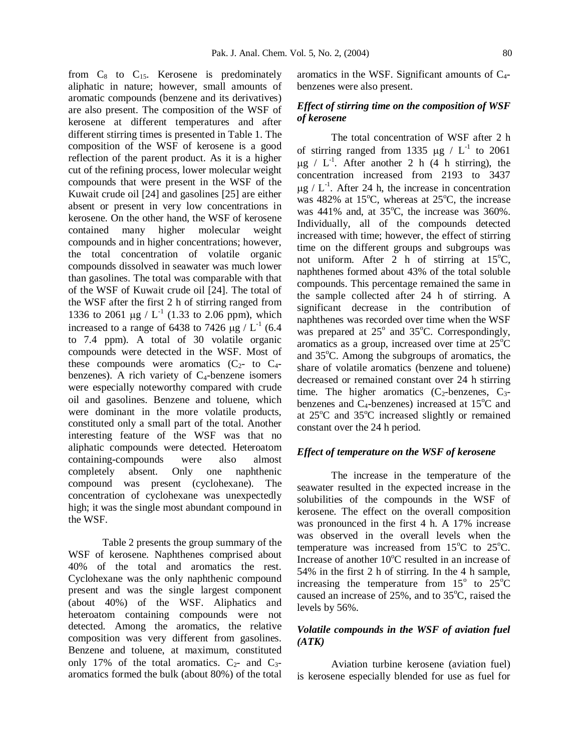from  $C_8$  to  $C_{15}$ . Kerosene is predominately aliphatic in nature; however, small amounts of aromatic compounds (benzene and its derivatives) are also present. The composition of the WSF of kerosene at different temperatures and after different stirring times is presented in Table 1. The composition of the WSF of kerosene is a good reflection of the parent product. As it is a higher cut of the refining process, lower molecular weight compounds that were present in the WSF of the Kuwait crude oil [24] and gasolines [25] are either absent or present in very low concentrations in kerosene. On the other hand, the WSF of kerosene contained many higher molecular weight compounds and in higher concentrations; however, the total concentration of volatile organic compounds dissolved in seawater was much lower than gasolines. The total was comparable with that of the WSF of Kuwait crude oil [24]. The total of the WSF after the first 2 h of stirring ranged from 1336 to 2061  $\mu$ g / L<sup>-1</sup> (1.33 to 2.06 ppm), which increased to a range of 6438 to 7426  $\mu$ g / L<sup>-1</sup> (6.4) to 7.4 ppm). A total of 30 volatile organic compounds were detected in the WSF. Most of these compounds were aromatics  $(C_{2}$ - to  $C_{4}$ benzenes). A rich variety of  $C_4$ -benzene isomers were especially noteworthy compared with crude oil and gasolines. Benzene and toluene, which were dominant in the more volatile products, constituted only a small part of the total. Another interesting feature of the WSF was that no aliphatic compounds were detected. Heteroatom containing-compounds were also almost completely absent. Only one naphthenic compound was present (cyclohexane). The concentration of cyclohexane was unexpectedly high; it was the single most abundant compound in the WSF.

Table 2 presents the group summary of the WSF of kerosene. Naphthenes comprised about 40% of the total and aromatics the rest. Cyclohexane was the only naphthenic compound present and was the single largest component (about 40%) of the WSF. Aliphatics and heteroatom containing compounds were not detected. Among the aromatics, the relative composition was very different from gasolines. Benzene and toluene, at maximum, constituted only 17% of the total aromatics.  $C_{2}$ - and  $C_{3}$ aromatics formed the bulk (about 80%) of the total

aromatics in the WSF. Significant amounts of  $C_4$ benzenes were also present.

# *Effect of stirring time on the composition of WSF of kerosene*

The total concentration of WSF after 2 h of stirring ranged from 1335  $\mu$ g / L<sup>-1</sup> to 2061  $\mu$ g / L<sup>-1</sup>. After another 2 h (4 h stirring), the concentration increased from 2193 to 3437  $\mu$ g / L<sup>-1</sup>. After 24 h, the increase in concentration was  $482\%$  at 15<sup>o</sup>C, whereas at  $25^{\circ}$ C, the increase was  $441\%$  and, at  $35^{\circ}$ C, the increase was  $360\%$ . Individually, all of the compounds detected increased with time; however, the effect of stirring time on the different groups and subgroups was not uniform. After 2 h of stirring at  $15^{\circ}$ C, naphthenes formed about 43% of the total soluble compounds. This percentage remained the same in the sample collected after 24 h of stirring. A significant decrease in the contribution of naphthenes was recorded over time when the WSF was prepared at  $25^{\circ}$  and  $35^{\circ}$ C. Correspondingly, aromatics as a group, increased over time at  $25^{\circ}$ C and  $35^{\circ}$ C. Among the subgroups of aromatics, the share of volatile aromatics (benzene and toluene) decreased or remained constant over 24 h stirring time. The higher aromatics  $(C_2$ -benzenes,  $C_3$ benzenes and  $C_4$ -benzenes) increased at 15 $\degree$ C and at  $25^{\circ}$ C and  $35^{\circ}$ C increased slightly or remained constant over the 24 h period.

## *Effect of temperature on the WSF of kerosene*

The increase in the temperature of the seawater resulted in the expected increase in the solubilities of the compounds in the WSF of kerosene. The effect on the overall composition was pronounced in the first 4 h. A 17% increase was observed in the overall levels when the temperature was increased from  $15^{\circ}$ C to  $25^{\circ}$ C. Increase of another  $10^{\circ}$ C resulted in an increase of 54% in the first 2 h of stirring. In the 4 h sample, increasing the temperature from  $15^{\circ}$  to  $25^{\circ}$ C caused an increase of  $25\%$ , and to  $35^{\circ}$ C, raised the levels by 56%.

# *Volatile compounds in the WSF of aviation fuel (ATK)*

Aviation turbine kerosene (aviation fuel) is kerosene especially blended for use as fuel for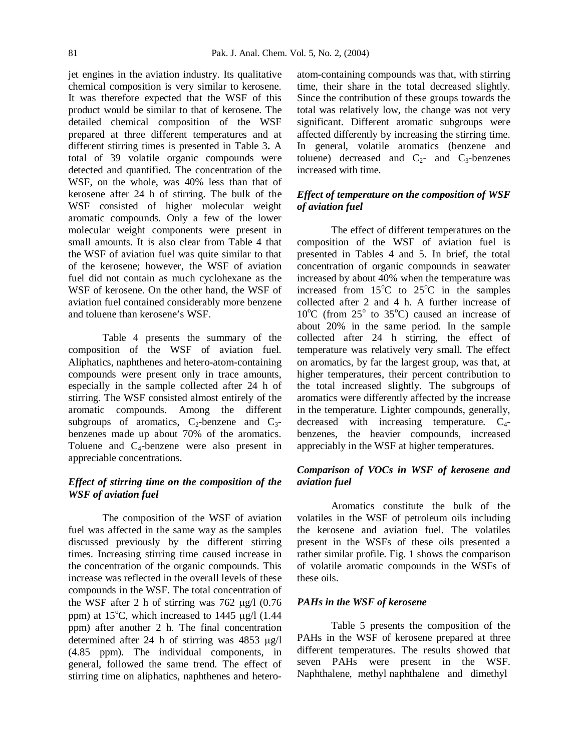jet engines in the aviation industry. Its qualitative chemical composition is very similar to kerosene. It was therefore expected that the WSF of this product would be similar to that of kerosene. The detailed chemical composition of the WSF prepared at three different temperatures and at different stirring times is presented in Table 3**.** A total of 39 volatile organic compounds were detected and quantified. The concentration of the WSF, on the whole, was 40% less than that of kerosene after 24 h of stirring. The bulk of the WSF consisted of higher molecular weight aromatic compounds. Only a few of the lower molecular weight components were present in small amounts. It is also clear from Table 4 that the WSF of aviation fuel was quite similar to that of the kerosene; however, the WSF of aviation fuel did not contain as much cyclohexane as the WSF of kerosene. On the other hand, the WSF of aviation fuel contained considerably more benzene and toluene than kerosene's WSF.

Table 4 presents the summary of the composition of the WSF of aviation fuel. Aliphatics, naphthenes and hetero-atom-containing compounds were present only in trace amounts, especially in the sample collected after 24 h of stirring. The WSF consisted almost entirely of the aromatic compounds. Among the different subgroups of aromatics,  $C_2$ -benzene and  $C_3$ benzenes made up about 70% of the aromatics. Toluene and  $C_4$ -benzene were also present in appreciable concentrations.

# *Effect of stirring time on the composition of the WSF of aviation fuel*

The composition of the WSF of aviation fuel was affected in the same way as the samples discussed previously by the different stirring times. Increasing stirring time caused increase in the concentration of the organic compounds. This increase was reflected in the overall levels of these compounds in the WSF. The total concentration of the WSF after 2 h of stirring was  $762 \text{ µg}/1$  (0.76) ppm) at  $15^{\circ}$ C, which increased to  $1445 \text{ µg}/1$  (1.44 ppm) after another 2 h. The final concentration determined after 24 h of stirring was  $4853 \text{ µg/l}$ (4.85 ppm). The individual components, in general, followed the same trend. The effect of stirring time on aliphatics, naphthenes and heteroatom-containing compounds was that, with stirring time, their share in the total decreased slightly. Since the contribution of these groups towards the total was relatively low, the change was not very significant. Different aromatic subgroups were affected differently by increasing the stirring time. In general, volatile aromatics (benzene and toluene) decreased and  $C_2$ - and  $C_3$ -benzenes increased with time.

# *Effect of temperature on the composition of WSF of aviation fuel*

The effect of different temperatures on the composition of the WSF of aviation fuel is presented in Tables 4 and 5. In brief, the total concentration of organic compounds in seawater increased by about 40% when the temperature was increased from  $15^{\circ}$ C to  $25^{\circ}$ C in the samples collected after 2 and 4 h. A further increase of  $10^{\circ}$ C (from  $25^{\circ}$  to  $35^{\circ}$ C) caused an increase of about 20% in the same period. In the sample collected after 24 h stirring, the effect of temperature was relatively very small. The effect on aromatics, by far the largest group, was that, at higher temperatures, their percent contribution to the total increased slightly. The subgroups of aromatics were differently affected by the increase in the temperature. Lighter compounds, generally, decreased with increasing temperature.  $C_{4}$ benzenes, the heavier compounds, increased appreciably in the WSF at higher temperatures.

# *Comparison of VOCs in WSF of kerosene and aviation fuel*

Aromatics constitute the bulk of the volatiles in the WSF of petroleum oils including the kerosene and aviation fuel. The volatiles present in the WSFs of these oils presented a rather similar profile. Fig. 1 shows the comparison of volatile aromatic compounds in the WSFs of these oils.

### *PAHs in the WSF of kerosene*

Table 5 presents the composition of the PAHs in the WSF of kerosene prepared at three different temperatures. The results showed that seven PAHs were present in the WSF. Naphthalene, methyl naphthalene and dimethyl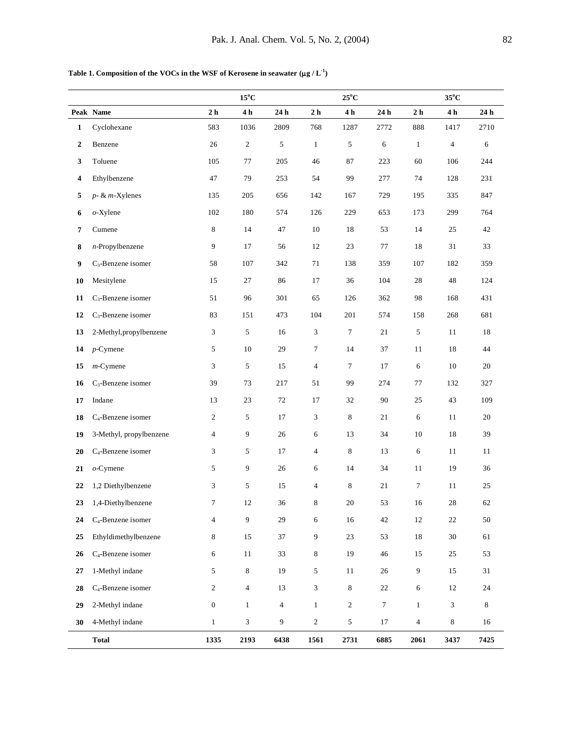Table 1. Composition of the VOCs in the WSF of Kerosene in seawater  $(\mu g/L^{-1})$ 

|                  |                                |                  | $15^{\circ}$ C |                |                          | $25^{\circ}$ C |        |                | $35^{\circ}$ C |         |
|------------------|--------------------------------|------------------|----------------|----------------|--------------------------|----------------|--------|----------------|----------------|---------|
|                  | Peak Name                      | 2 <sub>h</sub>   | 4 h            | 24 h           | 2 <sub>h</sub>           | 4 h            | 24 h   | 2 <sub>h</sub> | 4 <sub>h</sub> | 24 h    |
| 1                | Cyclohexane                    | 583              | 1036           | 2809           | 768                      | 1287           | 2772   | 888            | 1417           | 2710    |
| $\boldsymbol{2}$ | Benzene                        | 26               | $\sqrt{2}$     | 5              | $\mathbf{1}$             | 5              | 6      | $\mathbf{1}$   | $\overline{4}$ | 6       |
| 3                | Toluene                        | 105              | 77             | 205            | 46                       | 87             | 223    | 60             | 106            | 244     |
| 4                | Ethylbenzene                   | 47               | 79             | 253            | 54                       | 99             | 277    | 74             | 128            | 231     |
| 5                | $p - \& m$ -Xylenes            | 135              | 205            | 656            | 142                      | 167            | 729    | 195            | 335            | 847     |
| 6                | $o$ -Xylene                    | 102              | 180            | 574            | 126                      | 229            | 653    | 173            | 299            | 764     |
| 7                | Cumene                         | $\,$ 8 $\,$      | 14             | 47             | 10                       | 18             | 53     | 14             | 25             | 42      |
| 8                | $n$ -Propylbenzene             | 9                | 17             | 56             | 12                       | 23             | 77     | 18             | 31             | 33      |
| 9                | C <sub>3</sub> -Benzene isomer | 58               | 107            | 342            | 71                       | 138            | 359    | 107            | 182            | 359     |
| 10               | Mesitylene                     | 15               | 27             | 86             | 17                       | 36             | 104    | 28             | 48             | 124     |
| 11               | C <sub>3</sub> -Benzene isomer | 51               | 96             | 301            | 65                       | 126            | 362    | 98             | 168            | 431     |
| 12               | C <sub>3</sub> -Benzene isomer | 83               | 151            | 473            | 104                      | 201            | 574    | 158            | 268            | 681     |
| 13               | 2-Methyl, propylbenzene        | 3                | 5              | 16             | 3                        | $\tau$         | 21     | 5              | 11             | 18      |
| 14               | $p$ -Cymene                    | 5                | 10             | 29             | 7                        | 14             | 37     | 11             | 18             | 44      |
| 15               | $m$ -Cymene                    | 3                | 5              | 15             | $\overline{4}$           | $\tau$         | 17     | 6              | 10             | 20      |
| 16               | C <sub>3</sub> -Benzene isomer | 39               | 73             | 217            | 51                       | 99             | 274    | 77             | 132            | 327     |
| 17               | Indane                         | 13               | 23             | 72             | 17                       | 32             | 90     | 25             | 43             | 109     |
| 18               | C <sub>4</sub> -Benzene isomer | $\boldsymbol{2}$ | 5              | 17             | 3                        | $\,$ 8 $\,$    | 21     | 6              | 11             | $20\,$  |
| 19               | 3-Methyl, propylbenzene        | $\overline{4}$   | 9              | 26             | 6                        | 13             | 34     | 10             | 18             | 39      |
| 20               | C <sub>4</sub> -Benzene isomer | 3                | 5              | 17             | 4                        | $\,$ 8 $\,$    | 13     | 6              | 11             | 11      |
| 21               | $o$ -Cymene                    | 5                | 9              | 26             | 6                        | 14             | 34     | 11             | 19             | 36      |
| 22               | 1,2 Diethylbenzene             | 3                | 5              | 15             | $\overline{\mathcal{A}}$ | 8              | 21     | $\tau$         | 11             | 25      |
| 23               | 1,4-Diethylbenzene             | 7                | 12             | 36             | 8                        | 20             | 53     | 16             | 28             | 62      |
| 24               | C <sub>4</sub> -Benzene isomer | $\overline{4}$   | 9              | 29             | 6                        | 16             | 42     | 12             | $22\,$         | $50\,$  |
| 25               | Ethyldimethylbenzene           | 8                | 15             | 37             | 9                        | 23             | 53     | $18\,$         | $30\,$         | 61      |
| 26               | C <sub>4</sub> -Benzene isomer | $\sqrt{6}$       | 11             | 33             | 8                        | 19             | 46     | 15             | 25             | 53      |
| 27               | 1-Methyl indane                | 5                | $\,8\,$        | 19             | 5                        | $11\,$         | 26     | 9              | 15             | 31      |
| 28               | C <sub>4</sub> -Benzene isomer | $\boldsymbol{2}$ | $\overline{4}$ | 13             | 3                        | 8              | 22     | 6              | 12             | 24      |
| 29               | 2-Methyl indane                | $\boldsymbol{0}$ | $\mathbf{1}$   | $\overline{4}$ | $\mathbf{1}$             | $\sqrt{2}$     | $\tau$ | $\mathbf{1}$   | 3              | $\,8\,$ |
| 30               | 4-Methyl indane                | $\mathbf{1}$     | 3              | 9              | $\mathbf{2}$             | $\sqrt{5}$     | 17     | $\overline{4}$ | 8              | 16      |
|                  | <b>Total</b>                   | 1335             | 2193           | 6438           | 1561                     | 2731           | 6885   | 2061           | 3437           | 7425    |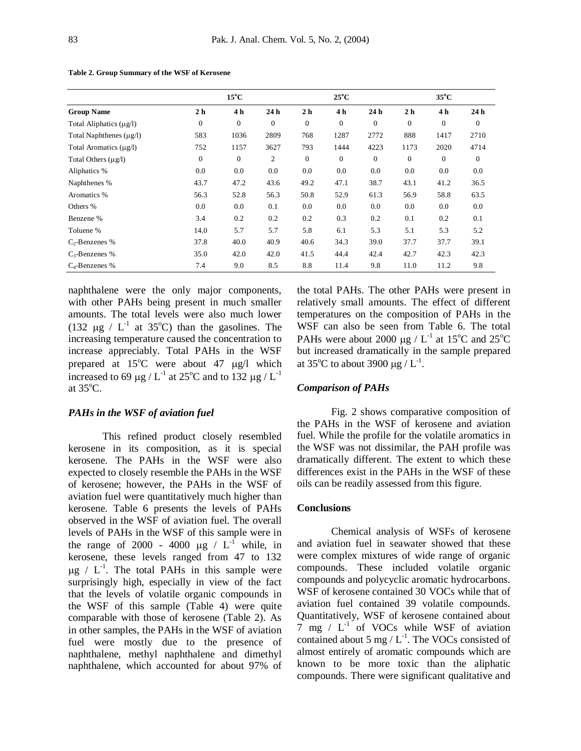|                              |                | $15^{\circ}$ C |          |                | $25^{\circ}$ C |              |                | $35^{\circ}$ C |              |
|------------------------------|----------------|----------------|----------|----------------|----------------|--------------|----------------|----------------|--------------|
| <b>Group Name</b>            | 2 <sub>h</sub> | 4 h            | 24h      | 2 <sub>h</sub> | 4 h            | 24h          | 2 <sub>h</sub> | 4 h            | 24h          |
| Total Aliphatics $(\mu g/l)$ | $\mathbf{0}$   | $\mathbf{0}$   | $\theta$ | $\mathbf{0}$   | $\mathbf{0}$   | $\mathbf{0}$ | $\mathbf{0}$   | $\mathbf{0}$   | $\mathbf{0}$ |
| Total Naphthenes $(\mu g/l)$ | 583            | 1036           | 2809     | 768            | 1287           | 2772         | 888            | 1417           | 2710         |
| Total Aromatics (µg/l)       | 752            | 1157           | 3627     | 793            | 1444           | 4223         | 1173           | 2020           | 4714         |
| Total Others $(\mu g/l)$     | $\mathbf{0}$   | $\mathbf{0}$   | 2        | $\mathbf{0}$   | $\mathbf{0}$   | $\mathbf{0}$ | $\mathbf{0}$   | $\mathbf{0}$   | $\mathbf{0}$ |
| Aliphatics %                 | 0.0            | 0.0            | 0.0      | 0.0            | 0.0            | 0.0          | 0.0            | 0.0            | 0.0          |
| Naphthenes %                 | 43.7           | 47.2           | 43.6     | 49.2           | 47.1           | 38.7         | 43.1           | 41.2           | 36.5         |
| Aromatics %                  | 56.3           | 52.8           | 56.3     | 50.8           | 52.9           | 61.3         | 56.9           | 58.8           | 63.5         |
| Others %                     | 0.0            | 0.0            | 0.1      | 0.0            | 0.0            | 0.0          | 0.0            | 0.0            | 0.0          |
| Benzene %                    | 3.4            | 0.2            | 0.2      | 0.2            | 0.3            | 0.2          | 0.1            | 0.2            | 0.1          |
| Toluene %                    | 14.0           | 5.7            | 5.7      | 5.8            | 6.1            | 5.3          | 5.1            | 5.3            | 5.2          |
| $C_2$ -Benzenes %            | 37.8           | 40.0           | 40.9     | 40.6           | 34.3           | 39.0         | 37.7           | 37.7           | 39.1         |
| $C_3$ -Benzenes %            | 35.0           | 42.0           | 42.0     | 41.5           | 44.4           | 42.4         | 42.7           | 42.3           | 42.3         |
| $C_4$ -Benzenes %            | 7.4            | 9.0            | 8.5      | 8.8            | 11.4           | 9.8          | 11.0           | 11.2           | 9.8          |

**Table 2. Group Summary of the WSF of Kerosene**

naphthalene were the only major components, with other PAHs being present in much smaller amounts. The total levels were also much lower (132  $\mu$ g / L<sup>-1</sup> at 35°C) than the gasolines. The increasing temperature caused the concentration to increase appreciably. Total PAHs in the WSF prepared at  $15^{\circ}$ C were about 47  $\mu$ g/l which increased to 69  $\mu$ g / L<sup>-1</sup> at 25<sup>o</sup>C and to 132  $\mu$ g / L<sup>-1</sup> at  $35^{\circ}$ C.

## *PAHs in the WSF of aviation fuel*

This refined product closely resembled kerosene in its composition, as it is special kerosene. The PAHs in the WSF were also expected to closely resemble the PAHs in the WSF of kerosene; however, the PAHs in the WSF of aviation fuel were quantitatively much higher than kerosene. Table 6 presents the levels of PAHs observed in the WSF of aviation fuel. The overall levels of PAHs in the WSF of this sample were in the range of 2000 - 4000  $\mu$ g / L<sup>-1</sup> while, in kerosene, these levels ranged from 47 to 132  $\mu$ g / L<sup>-1</sup>. The total PAHs in this sample were surprisingly high, especially in view of the fact that the levels of volatile organic compounds in the WSF of this sample (Table 4) were quite comparable with those of kerosene (Table 2). As in other samples, the PAHs in the WSF of aviation fuel were mostly due to the presence of naphthalene, methyl naphthalene and dimethyl naphthalene, which accounted for about 97% of

the total PAHs. The other PAHs were present in relatively small amounts. The effect of different temperatures on the composition of PAHs in the WSF can also be seen from Table 6. The total PAHs were about 2000  $\mu$ g / L<sup>-1</sup> at 15<sup>o</sup>C and 25<sup>o</sup>C but increased dramatically in the sample prepared at 35°C to about 3900 µg /  $L^{-1}$ .

#### *Comparison of PAHs*

Fig. 2 shows comparative composition of the PAHs in the WSF of kerosene and aviation fuel. While the profile for the volatile aromatics in the WSF was not dissimilar, the PAH profile was dramatically different. The extent to which these differences exist in the PAHs in the WSF of these oils can be readily assessed from this figure.

#### **Conclusions**

Chemical analysis of WSFs of kerosene and aviation fuel in seawater showed that these were complex mixtures of wide range of organic compounds. These included volatile organic compounds and polycyclic aromatic hydrocarbons. WSF of kerosene contained 30 VOCs while that of aviation fuel contained 39 volatile compounds. Quantitatively, WSF of kerosene contained about 7 mg  $/$  L<sup>-1</sup> of VOCs while WSF of aviation contained about 5 mg /  $L^{-1}$ . The VOCs consisted of almost entirely of aromatic compounds which are known to be more toxic than the aliphatic compounds. There were significant qualitative and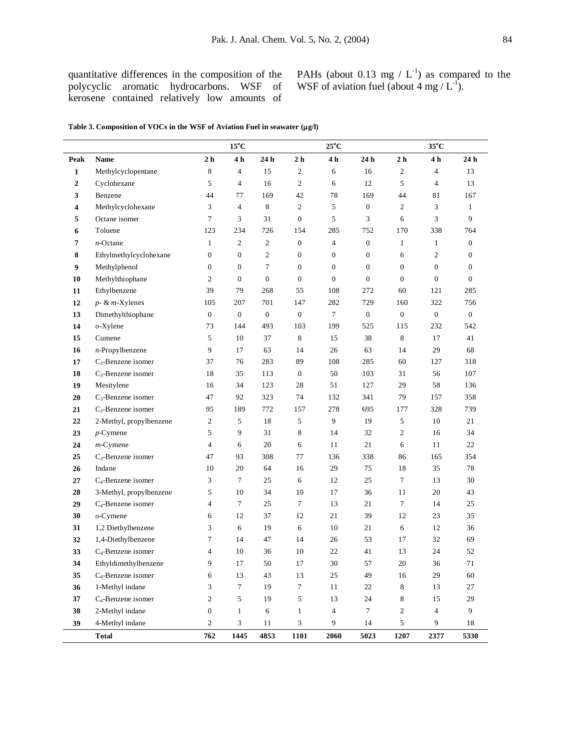quantitative differences in the composition of the polycyclic aromatic hydrocarbons. WSF of kerosene contained relatively low amounts of PAHs (about 0.13 mg /  $L^{-1}$ ) as compared to the WSF of aviation fuel (about 4 mg /  $L^{-1}$ ).

|  |  |  | Table 3. Composition of VOCs in the WSF of Aviation Fuel in seawater (µg/l) |
|--|--|--|-----------------------------------------------------------------------------|
|--|--|--|-----------------------------------------------------------------------------|

|                |                                |                         | $15^{\circ}$ C   |                             |                  | $25^{\circ}$ C   |                  |                 | $35^{\circ}$ C   |                             |
|----------------|--------------------------------|-------------------------|------------------|-----------------------------|------------------|------------------|------------------|-----------------|------------------|-----------------------------|
| Peak           | <b>Name</b>                    | 2 <sub>h</sub>          | 4 h              | $24\,\ensuremath{\hbox{h}}$ | 2 <sub>h</sub>   | 4 <sub>h</sub>   | 24 h             | $2\ \mathrm{h}$ | 4h               | $24\,\ensuremath{\hbox{h}}$ |
| 1              | Methylcyclopentane             | $\,$ 8 $\,$             | $\overline{4}$   | 15                          | $\boldsymbol{2}$ | 6                | 16               | $\overline{c}$  | $\overline{4}$   | 13                          |
| $\overline{2}$ | Cyclohexane                    | 5                       | $\overline{4}$   | 16                          | $\overline{c}$   | 6                | 12               | 5               | $\overline{4}$   | 13                          |
| 3              | Benzene                        | 44                      | 77               | 169                         | 42               | 78               | 169              | 44              | 81               | 167                         |
| 4              | Methylcyclohexane              | 3                       | $\overline{4}$   | $\,8\,$                     | $\overline{c}$   | 5                | $\boldsymbol{0}$ | $\overline{c}$  | 3                | 1                           |
| 5              | Octane isomer                  | 7                       | 3                | 31                          | $\boldsymbol{0}$ | 5                | 3                | 6               | 3                | 9                           |
| 6              | Toluene                        | 123                     | 234              | 726                         | 154              | 285              | 752              | 170             | 338              | 764                         |
| 7              | $n$ -Octane                    | $\mathbf{1}$            | $\overline{c}$   | $\boldsymbol{2}$            | $\mathbf{0}$     | $\overline{4}$   | $\boldsymbol{0}$ | 1               | $\mathbf{1}$     | $\mathbf{0}$                |
| 8              | Ethylmethylcyclohexane         | $\boldsymbol{0}$        | $\boldsymbol{0}$ | $\sqrt{2}$                  | $\boldsymbol{0}$ | $\boldsymbol{0}$ | $\mathbf{0}$     | 6               | $\boldsymbol{2}$ | $\boldsymbol{0}$            |
| 9              | Methylphenol                   | $\mathbf{0}$            | $\overline{0}$   | $\tau$                      | $\mathbf{0}$     | $\mathbf{0}$     | $\mathbf{0}$     | $\mathbf{0}$    | $\mathbf{0}$     | $\mathbf{0}$                |
| 10             | Methylthiophane                | $\overline{c}$          | $\boldsymbol{0}$ | $\boldsymbol{0}$            | $\boldsymbol{0}$ | $\mathbf{0}$     | $\mathbf{0}$     | $\mathbf{0}$    | $\mathbf{0}$     | $\mathbf{0}$                |
| 11             | Ethylbenzene                   | 39                      | 79               | 268                         | 55               | 108              | 272              | 60              | 121              | 285                         |
| 12             | $p - \& m$ -Xylenes            | 105                     | 207              | 701                         | 147              | 282              | 729              | 160             | 322              | 756                         |
| 13             | Dimethylthiophane              | $\boldsymbol{0}$        | $\boldsymbol{0}$ | $\boldsymbol{0}$            | $\boldsymbol{0}$ | $\tau$           | $\mathbf{0}$     | $\mathbf{0}$    | $\boldsymbol{0}$ | $\mathbf{0}$                |
| 14             | $o$ -Xylene                    | 73                      | 144              | 493                         | 103              | 199              | 525              | 115             | 232              | 542                         |
| 15             | Cumene                         | 5                       | 10               | 37                          | 8                | 15               | 38               | 8               | 17               | 41                          |
| 16             | $n$ -Propylbenzene             | 9                       | 17               | 63                          | 14               | 26               | 63               | 14              | 29               | 68                          |
| 17             | $C_3$ -Benzene isomer          | 37                      | 76               | 283                         | 89               | 108              | 285              | 60              | 127              | 318                         |
| 18             | C <sub>3</sub> -Benzene isomer | 18                      | 35               | 113                         | $\boldsymbol{0}$ | 50               | 103              | 31              | 56               | 107                         |
| 19             | Mesitylene                     | 16                      | 34               | 123                         | 28               | 51               | 127              | 29              | 58               | 136                         |
| 20             | $C_3$ -Benzene isomer          | 47                      | 92               | 323                         | 74               | 132              | 341              | 79              | 157              | 358                         |
| 21             | $C_3$ -Benzene isomer          | 95                      | 189              | 772                         | 157              | 278              | 695              | 177             | 328              | 739                         |
| 22             | 2-Methyl, propylbenzene        | $\mathbf{2}$            | 5                | 18                          | 5                | 9                | 19               | 5               | 10               | $21\,$                      |
| 23             | $p$ -Cymene                    | 5                       | 9                | 31                          | 8                | 14               | 32               | $\overline{c}$  | 16               | 34                          |
| 24             | $m$ -Cymene                    | $\overline{\mathbf{4}}$ | 6                | 20                          | 6                | 11               | 21               | 6               | 11               | 22                          |
| 25             | $C_3$ -Benzene isomer          | 47                      | 93               | 308                         | 77               | 136              | 338              | 86              | 165              | 354                         |
| 26             | Indane                         | 10                      | 20               | 64                          | 16               | 29               | 75               | 18              | 35               | 78                          |
| 27             | C <sub>4</sub> -Benzene isomer | 3                       | 7                | 25                          | 6                | 12               | 25               | $\tau$          | 13               | 30                          |
| 28             | 3-Methyl, propylbenzene        | 5                       | 10               | 34                          | 10               | 17               | 36               | 11              | 20               | 43                          |
| 29             | C <sub>4</sub> -Benzene isomer | $\overline{\mathbf{4}}$ | 7                | 25                          | 7                | 13               | 21               | $\tau$          | 14               | 25                          |
| 30             | $o$ -Cymene                    | 6                       | 12               | 37                          | 12               | 21               | 39               | 12              | 23               | 35                          |
| 31             | 1,2 Diethylbenzene             | 3                       | 6                | 19                          | 6                | 10               | 21               | 6               | 12               | 36                          |
| 32             | 1,4-Diethylbenzene             | 7                       | 14               | 47                          | 14               | 26               | 53               | 17              | 32               | 69                          |
| 33             | C <sub>4</sub> -Benzene isomer | $\overline{\mathbf{4}}$ | 10               | 36                          | 10               | 22               | 41               | 13              | 24               | 52                          |
| 34             | Ethyldimethylbenzene           | 9                       | 17               | 50                          | $17\,$           | $30\,$           | 57               | $20\,$          | 36               | $71\,$                      |
| 35             | C <sub>4</sub> -Benzene isomer | 6                       | 13               | 43                          | 13               | 25               | 49               | 16              | 29               | 60                          |
| 36             | 1-Methyl indane                | 3                       | $\overline{7}$   | 19                          | $\tau$           | $11\,$           | 22               | 8               | 13               | $27\,$                      |
| 37             | C <sub>4</sub> -Benzene isomer | $\overline{\mathbf{c}}$ | 5                | 19                          | 5                | 13               | 24               | 8               | 15               | $29\,$                      |
| 38             | 2-Methyl indane                | $\boldsymbol{0}$        | $\mathbf{1}$     | 6                           | $\mathbf{1}$     | 4                | $7\phantom{.0}$  | $\overline{c}$  | 4                | 9                           |
| 39             | 4-Methyl indane                | $\overline{c}$          | 3                | 11                          | 3                | 9                | 14               | 5               | 9                | 18                          |
|                | <b>Total</b>                   | 762                     | 1445             | 4853                        | 1101             | 2060             | 5023             | 1207            | 2377             | 5330                        |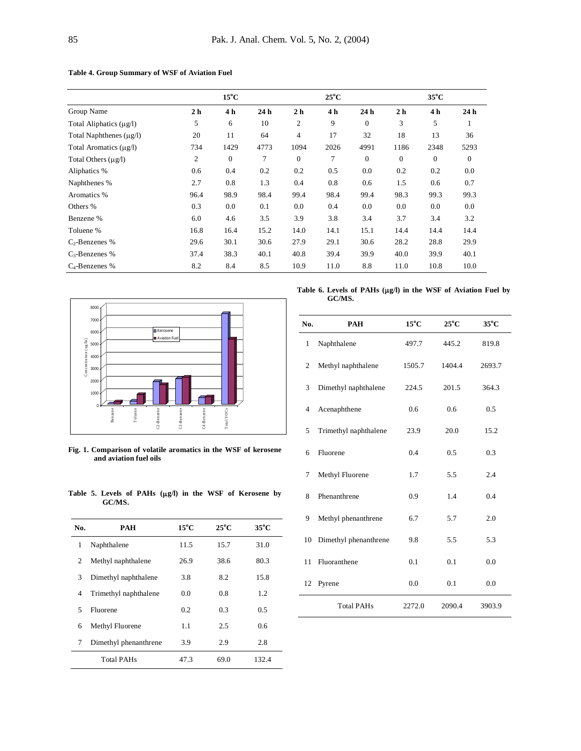|                              |                | $15^{\circ}$ C |                 |                | $25^{\circ}$ C |                 |                | $35^{\circ}$ C |                 |
|------------------------------|----------------|----------------|-----------------|----------------|----------------|-----------------|----------------|----------------|-----------------|
| Group Name                   | 2 <sub>h</sub> | 4 h            | 24 <sub>h</sub> | 2 <sub>h</sub> | 4h             | 24 <sub>h</sub> | 2 <sub>h</sub> | 4 h            | 24 <sub>h</sub> |
| Total Aliphatics $(\mu g/l)$ | 5              | 6              | 10              | 2              | 9              | $\Omega$        | 3              | 5              | 1               |
| Total Naphthenes $(\mu g/l)$ | 20             | 11             | 64              | $\overline{4}$ | 17             | 32              | 18             | 13             | 36              |
| Total Aromatics $(\mu g/l)$  | 734            | 1429           | 4773            | 1094           | 2026           | 4991            | 1186           | 2348           | 5293            |
| Total Others $(\mu g/l)$     | 2              | $\overline{0}$ | 7               | $\mathbf{0}$   | 7              | $\mathbf{0}$    | $\mathbf{0}$   | $\mathbf{0}$   | $\mathbf{0}$    |
| Aliphatics %                 | 0.6            | 0.4            | 0.2             | 0.2            | 0.5            | 0.0             | 0.2            | 0.2            | 0.0             |
| Naphthenes %                 | 2.7            | 0.8            | 1.3             | 0.4            | 0.8            | 0.6             | 1.5            | 0.6            | 0.7             |
| Aromatics %                  | 96.4           | 98.9           | 98.4            | 99.4           | 98.4           | 99.4            | 98.3           | 99.3           | 99.3            |
| Others %                     | 0.3            | 0.0            | 0.1             | 0.0            | 0.4            | 0.0             | 0.0            | 0.0            | 0.0             |
| Benzene %                    | 6.0            | 4.6            | 3.5             | 3.9            | 3.8            | 3.4             | 3.7            | 3.4            | 3.2             |
| Toluene %                    | 16.8           | 16.4           | 15.2            | 14.0           | 14.1           | 15.1            | 14.4           | 14.4           | 14.4            |
| $C_2$ -Benzenes %            | 29.6           | 30.1           | 30.6            | 27.9           | 29.1           | 30.6            | 28.2           | 28.8           | 29.9            |
| $C_3$ -Benzenes %            | 37.4           | 38.3           | 40.1            | 40.8           | 39.4           | 39.9            | 40.0           | 39.9           | 40.1            |
| $C_4$ -Benzenes %            | 8.2            | 8.4            | 8.5             | 10.9           | 11.0           | 8.8             | 11.0           | 10.8           | 10.0            |

### **Table 4. Group Summary of WSF of Aviation Fuel**



**Fig. 1. Comparison of volatile aromatics in the WSF of kerosene and aviation fuel oils**

| 3  | Dimethyl naphthalene  | 224.5  | 201.5         | 364.3  |
|----|-----------------------|--------|---------------|--------|
| 4  | Acenaphthene          | 0.6    | $0.6^{\circ}$ | 0.5    |
| 5  | Trimethyl naphthalene | 23.9   | 20.0          | 15.2   |
| 6  | Fluorene              | 0.4    | 0.5           | 0.3    |
| 7  | Methyl Fluorene       | 1.7    | 5.5           | 2.4    |
| 8  | Phenanthrene          | 0.9    | 1.4           | 0.4    |
| 9  | Methyl phenanthrene   | 6.7    | 5.7           | 2.0    |
| 10 | Dimethyl phenanthrene | 9.8    | 5.5           | 5.3    |
| 11 | Fluoranthene          | 0.1    | 0.1           | 0.0    |
| 12 | Pyrene                | 0.0    | 0.1           | 0.0    |
|    | <b>Total PAHs</b>     | 2272.0 | 2090.4        | 3903.9 |

**Table 5. Levels of PAHs (g/l) in the WSF of Kerosene by GC/MS.**

| No. | PAH                   | $15^{\circ}$ C | $25^{\circ}$ C | $35^{\circ}$ C |
|-----|-----------------------|----------------|----------------|----------------|
| 1   | Naphthalene           | 11.5           | 15.7           | 31.0           |
| 2   | Methyl naphthalene    | 26.9           | 38.6           | 80.3           |
| 3   | Dimethyl naphthalene  | 3.8            | 8.2            | 15.8           |
| 4   | Trimethyl naphthalene | 0.0            | 0.8            | 1.2            |
| 5   | Fluorene              | 0.2            | 0.3            | 0.5            |
| 6   | Methyl Fluorene       | 1.1            | 2.5            | 0.6            |
| 7   | Dimethyl phenanthrene | 3.9            | 2.9            | 2.8            |
|     | <b>Total PAHs</b>     | 47.3           | 69.0           | 132.4          |

Table 6. Levels of PAHs ( $\mu$ g/l) in the WSF of Aviation Fuel by **GC/MS.**

**No. PAH 15<sup>o</sup>C 25<sup>o</sup>C 35<sup>o</sup>C**

1 Naphthalene 497.7 445.2 819.8

2 Methyl naphthalene 1505.7 1404.4 2693.7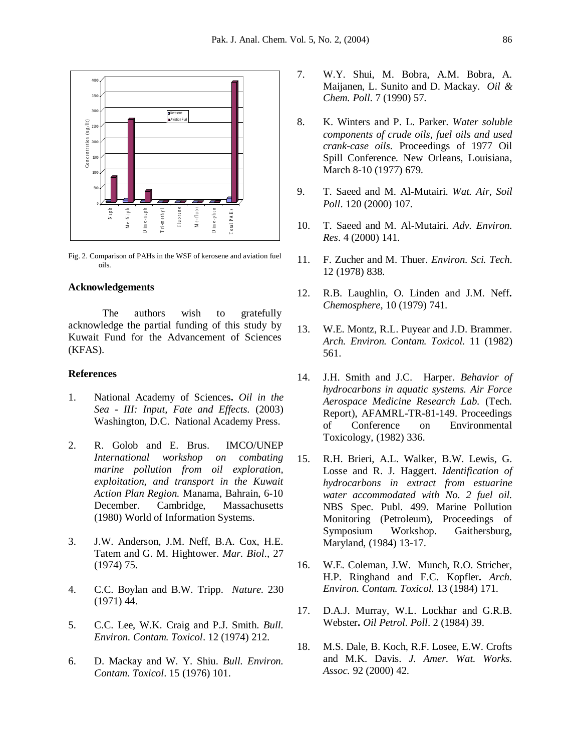

Fig. 2. Comparison of PAHs in the WSF of kerosene and aviation fuel oils.

# **Acknowledgements**

The authors wish to gratefully acknowledge the partial funding of this study by Kuwait Fund for the Advancement of Sciences (KFAS).

### **References**

- 1. National Academy of Sciences**.** *Oil in the Sea - III: Input, Fate and Effects.* (2003) Washington, D.C. National Academy Press.
- 2. R. Golob and E. Brus. IMCO/UNEP *International workshop on combating marine pollution from oil exploration, exploitation, and transport in the Kuwait Action Plan Region.* Manama, Bahrain, 6-10 December. Cambridge, Massachusetts (1980) World of Information Systems.
- 3. J.W. Anderson, J.M. Neff, B.A. Cox, H.E. Tatem and G. M. Hightower. *Mar. Biol*., 27 (1974) 75.
- 4. C.C. Boylan and B.W. Tripp. *Nature*. 230 (1971) 44.
- 5. C.C. Lee, W.K. Craig and P.J. Smith. *Bull. Environ. Contam. Toxicol*. 12 (1974) 212.
- 6. D. Mackay and W. Y. Shiu. *Bull. Environ. Contam. Toxicol*. 15 (1976) 101.
- 7. W.Y. Shui, M. Bobra, A.M. Bobra, A. Maijanen, L. Sunito and D. Mackay. *Oil & Chem. Poll.* 7 (1990) 57.
- 8. K. Winters and P. L. Parker. *Water soluble components of crude oils, fuel oils and used crank-case oils.* Proceedings of 1977 Oil Spill Conference. New Orleans, Louisiana, March 8-10 (1977) 679.
- 9. T. Saeed and M. Al-Mutairi. *Wat. Air, Soil Poll*. 120 (2000) 107.
- 10. T. Saeed and M. Al-Mutairi. *Adv. Environ. Res*. 4 (2000) 141.
- 11. F. Zucher and M. Thuer. *Environ. Sci. Tech*. 12 (1978) 838.
- 12. R.B. Laughlin, O. Linden and J.M. Neff**.**  *Chemosphere*, 10 (1979) 741.
- 13. W.E. Montz, R.L. Puyear and J.D. Brammer. *Arch. Environ. Contam. Toxicol.* 11 (1982) 561.
- 14. J.H. Smith and J.C. Harper. *Behavior of hydrocarbons in aquatic systems. Air Force Aerospace Medicine Research Lab.* (Tech. Report), AFAMRL-TR-81-149. Proceedings of Conference on Environmental Toxicology, (1982) 336.
- 15. R.H. Brieri, A.L. Walker, B.W. Lewis, G. Losse and R. J. Haggert. *Identification of hydrocarbons in extract from estuarine water accommodated with No. 2 fuel oil.* NBS Spec. Publ. 499. Marine Pollution Monitoring (Petroleum), Proceedings of Symposium Workshop. Gaithersburg, Maryland, (1984) 13-17.
- 16. W.E. Coleman, J.W. Munch, R.O. Stricher, H.P. Ringhand and F.C. Kopfler**.** *Arch. Environ. Contam. Toxicol.* 13 (1984) 171.
- 17. D.A.J. Murray, W.L. Lockhar and G.R.B. Webster**.** *Oil Petrol. Poll*. 2 (1984) 39.
- 18. M.S. Dale, B. Koch, R.F. Losee, E.W. Crofts and M.K. Davis. *J. Amer. Wat. Works. Assoc.* 92 (2000) 42.